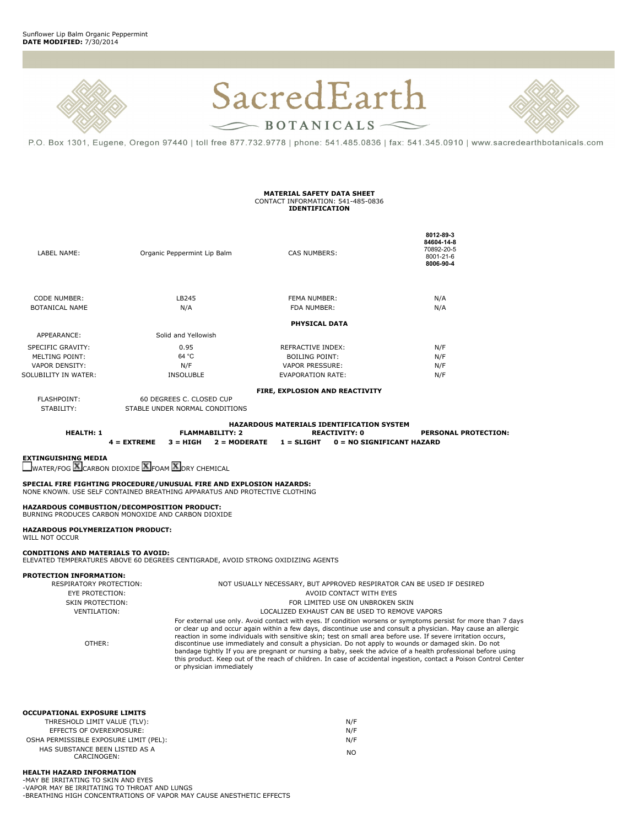



P.O. Box 1301, Eugene, Oregon 97440 | toll free 877.732.9778 | phone: 541.485.0836 | fax: 541.345.0910 | www.sacredearthbotanicals.com

## **MATERIAL SAFETY DATA SHEET** CONTACT INFORMATION: 541-485-0836 **IDENTIFICATION**

| LABEL NAME:                                                                                                                                               | Organic Peppermint Lip Balm                                                                                                                                                                                                                                                                                                                                                               | CAS NUMBERS:                                                                                     | 8012 89 3<br>84604-14-8<br>70892-20-5<br>8001-21-6<br>8006-90-4                                                                                                                                                                                                                                                                                                                                                                                                                                                                                                                                                                                                                             |  |
|-----------------------------------------------------------------------------------------------------------------------------------------------------------|-------------------------------------------------------------------------------------------------------------------------------------------------------------------------------------------------------------------------------------------------------------------------------------------------------------------------------------------------------------------------------------------|--------------------------------------------------------------------------------------------------|---------------------------------------------------------------------------------------------------------------------------------------------------------------------------------------------------------------------------------------------------------------------------------------------------------------------------------------------------------------------------------------------------------------------------------------------------------------------------------------------------------------------------------------------------------------------------------------------------------------------------------------------------------------------------------------------|--|
| <b>CODE NUMBER:</b><br><b>BOTANICAL NAME</b>                                                                                                              | LB245<br>N/A                                                                                                                                                                                                                                                                                                                                                                              | FEMA NUMBER:<br>FDA NUMBER:                                                                      | N/A<br>N/A                                                                                                                                                                                                                                                                                                                                                                                                                                                                                                                                                                                                                                                                                  |  |
|                                                                                                                                                           |                                                                                                                                                                                                                                                                                                                                                                                           | <b>PHYSICAL DATA</b>                                                                             |                                                                                                                                                                                                                                                                                                                                                                                                                                                                                                                                                                                                                                                                                             |  |
| APPEARANCE:                                                                                                                                               | Solid and Yellowish                                                                                                                                                                                                                                                                                                                                                                       |                                                                                                  |                                                                                                                                                                                                                                                                                                                                                                                                                                                                                                                                                                                                                                                                                             |  |
|                                                                                                                                                           |                                                                                                                                                                                                                                                                                                                                                                                           |                                                                                                  |                                                                                                                                                                                                                                                                                                                                                                                                                                                                                                                                                                                                                                                                                             |  |
| SPECIFIC GRAVITY:                                                                                                                                         | 0.95                                                                                                                                                                                                                                                                                                                                                                                      | REFRACTIVE INDEX:                                                                                | N/F                                                                                                                                                                                                                                                                                                                                                                                                                                                                                                                                                                                                                                                                                         |  |
| <b>MELTING POINT:</b>                                                                                                                                     | 64 °C                                                                                                                                                                                                                                                                                                                                                                                     | <b>BOILING POINT:</b>                                                                            | N/F                                                                                                                                                                                                                                                                                                                                                                                                                                                                                                                                                                                                                                                                                         |  |
| <b>VAPOR DENSITY:</b>                                                                                                                                     | N/F                                                                                                                                                                                                                                                                                                                                                                                       | <b>VAPOR PRESSURE:</b>                                                                           | N/F                                                                                                                                                                                                                                                                                                                                                                                                                                                                                                                                                                                                                                                                                         |  |
| SOLUBILITY IN WATER:                                                                                                                                      | <b>INSOLUBLE</b>                                                                                                                                                                                                                                                                                                                                                                          | <b>EVAPORATION RATE:</b>                                                                         | N/F                                                                                                                                                                                                                                                                                                                                                                                                                                                                                                                                                                                                                                                                                         |  |
|                                                                                                                                                           |                                                                                                                                                                                                                                                                                                                                                                                           | FIRE, EXPLOSION AND REACTIVITY                                                                   |                                                                                                                                                                                                                                                                                                                                                                                                                                                                                                                                                                                                                                                                                             |  |
| <b>FLASHPOINT:</b>                                                                                                                                        | 60 DEGREES C. CLOSED CUP                                                                                                                                                                                                                                                                                                                                                                  |                                                                                                  |                                                                                                                                                                                                                                                                                                                                                                                                                                                                                                                                                                                                                                                                                             |  |
| STABILITY:                                                                                                                                                | STABLE UNDER NORMAL CONDITIONS                                                                                                                                                                                                                                                                                                                                                            |                                                                                                  |                                                                                                                                                                                                                                                                                                                                                                                                                                                                                                                                                                                                                                                                                             |  |
| <b>HEALTH: 1</b><br><b>EXTINGUISHING MEDIA</b><br><b>HAZARDOUS POLYMERIZATION PRODUCT:</b><br>WILL NOT OCCUR<br><b>CONDITIONS AND MATERIALS TO AVOID:</b> | <b>FLAMMABILITY: 2</b><br>$4 = EXTREME$<br>$3 = HIGH$<br>WATER/FOG <b>X</b> CARBON DIOXIDE <b>X</b> FOAM <b>X</b> DRY CHEMICAL<br>SPECIAL FIRE FIGHTING PROCEDURE/UNUSUAL FIRE AND EXPLOSION HAZARDS:<br>NONE KNOWN, USE SELF CONTAINED BREATHING APPARATUS AND PROTECTIVE CLOTHING<br>HAZARDOUS COMBUSTION/DECOMPOSITION PRODUCT:<br>BURNING PRODUCES CARBON MONOXIDE AND CARBON DIOXIDE | HAZARDOUS MATERIALS IDENTIFICATION SYSTEM<br><b>REACTIVITY: 0</b><br>$2 = MODERATE$ $1 = SLIGHT$ | <b>PERSONAL PROTECTION:</b><br>$0 = NO$ SIGNIFICANT HAZARD                                                                                                                                                                                                                                                                                                                                                                                                                                                                                                                                                                                                                                  |  |
|                                                                                                                                                           | ELEVATED TEMPERATURES ABOVE 60 DEGREES CENTIGRADE, AVOID STRONG OXIDIZING AGENTS                                                                                                                                                                                                                                                                                                          |                                                                                                  |                                                                                                                                                                                                                                                                                                                                                                                                                                                                                                                                                                                                                                                                                             |  |
| <b>PROTECTION INFORMATION:</b>                                                                                                                            |                                                                                                                                                                                                                                                                                                                                                                                           |                                                                                                  |                                                                                                                                                                                                                                                                                                                                                                                                                                                                                                                                                                                                                                                                                             |  |
| <b>RESPIRATORY PROTECTION:</b><br>NOT USUALLY NECESSARY, BUT APPROVED RESPIRATOR CAN BE USED IF DESIRED                                                   |                                                                                                                                                                                                                                                                                                                                                                                           |                                                                                                  |                                                                                                                                                                                                                                                                                                                                                                                                                                                                                                                                                                                                                                                                                             |  |
| <b>EYE PROTECTION:</b>                                                                                                                                    |                                                                                                                                                                                                                                                                                                                                                                                           | AVOID CONTACT WITH EYES                                                                          |                                                                                                                                                                                                                                                                                                                                                                                                                                                                                                                                                                                                                                                                                             |  |
| <b>SKIN PROTECTION:</b>                                                                                                                                   |                                                                                                                                                                                                                                                                                                                                                                                           | FOR LIMITED USE ON UNBROKEN SKIN                                                                 |                                                                                                                                                                                                                                                                                                                                                                                                                                                                                                                                                                                                                                                                                             |  |
| <b>VENTILATION:</b>                                                                                                                                       |                                                                                                                                                                                                                                                                                                                                                                                           | LOCALIZED EXHAUST CAN BE USED TO REMOVE VAPORS                                                   |                                                                                                                                                                                                                                                                                                                                                                                                                                                                                                                                                                                                                                                                                             |  |
| OTHER:                                                                                                                                                    | or physician immediately                                                                                                                                                                                                                                                                                                                                                                  |                                                                                                  | For external use only. Avoid contact with eyes. If condition worsens or symptoms persist for more than 7 days<br>or clear up and occur again within a few days, discontinue use and consult a physician. May cause an allergic<br>reaction in some individuals with sensitive skin; test on small area before use. If severe irritation occurs,<br>discontinue use immediately and consult a physician. Do not apply to wounds or damaged skin. Do not<br>bandage tightly If you are pregnant or nursing a baby, seek the advice of a health professional before using<br>this product. Keep out of the reach of children. In case of accidental ingestion, contact a Poison Control Center |  |

| <b>OCCUPATIONAL EXPOSURE LIMITS</b>    |     |
|----------------------------------------|-----|
| THRESHOLD LIMIT VALUE (TLV):           | N/F |
| EFFECTS OF OVEREXPOSURE:               | N/F |
| OSHA PERMISSIBLE EXPOSURE LIMIT (PEL): | N/F |
| HAS SUBSTANCE BEEN LISTED AS A         | NO. |
| CARCINOGEN:                            |     |

## **HEALTH HAZARD INFORMATION** -MAY BE IRRITATING TO SKIN AND EYES

-VAPOR MAY BE IRRITATING TO THROAT AND LUNGS -BREATHING HIGH CONCENTRATIONS OF VAPOR MAY CAUSE ANESTHETIC EFFECTS